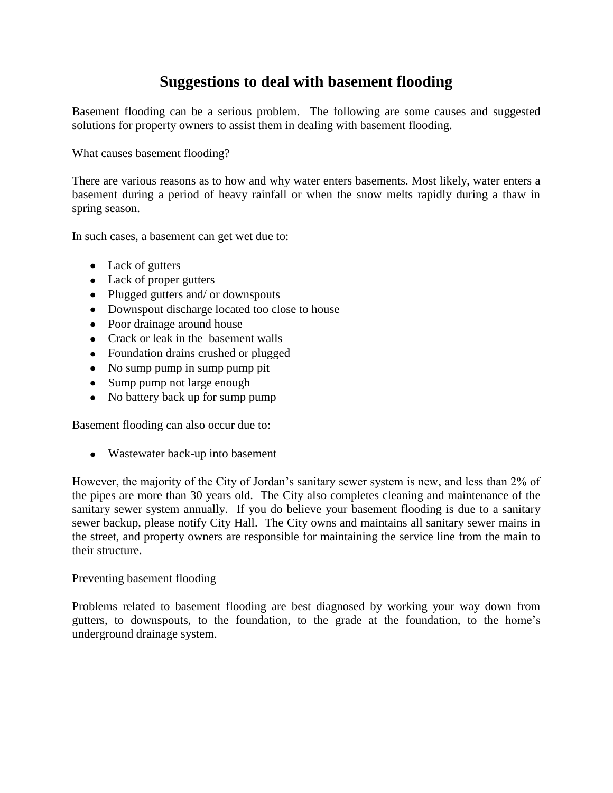# **Suggestions to deal with basement flooding**

Basement flooding can be a serious problem. The following are some causes and suggested solutions for property owners to assist them in dealing with basement flooding.

## What causes basement flooding?

There are various reasons as to how and why water enters basements. Most likely, water enters a basement during a period of heavy rainfall or when the snow melts rapidly during a thaw in spring season.

In such cases, a basement can get wet due to:

- Lack of gutters
- Lack of proper gutters
- Plugged gutters and/ or downspouts
- Downspout discharge located too close to house
- Poor drainage around house
- Crack or leak in the basement walls
- Foundation drains crushed or plugged
- No sump pump in sump pump pit
- Sump pump not large enough
- No battery back up for sump pump

Basement flooding can also occur due to:

• Wastewater back-up into basement

However, the majority of the City of Jordan's sanitary sewer system is new, and less than 2% of the pipes are more than 30 years old. The City also completes cleaning and maintenance of the sanitary sewer system annually. If you do believe your basement flooding is due to a sanitary sewer backup, please notify City Hall. The City owns and maintains all sanitary sewer mains in the street, and property owners are responsible for maintaining the service line from the main to their structure.

#### Preventing basement flooding

Problems related to basement flooding are best diagnosed by working your way down from gutters, to downspouts, to the foundation, to the grade at the foundation, to the home's underground drainage system.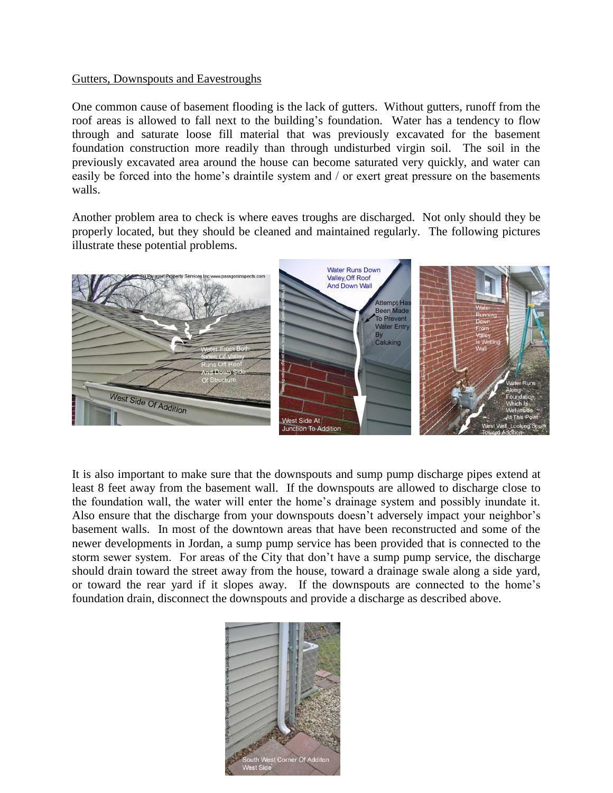#### Gutters, Downspouts and Eavestroughs

One common cause of basement flooding is the lack of gutters. Without gutters, runoff from the roof areas is allowed to fall next to the building's foundation. Water has a tendency to flow through and saturate loose fill material that was previously excavated for the basement foundation construction more readily than through undisturbed virgin soil. The soil in the previously excavated area around the house can become saturated very quickly, and water can easily be forced into the home's draintile system and / or exert great pressure on the basements walls.

Another problem area to check is where eaves troughs are discharged. Not only should they be properly located, but they should be cleaned and maintained regularly. The following pictures illustrate these potential problems.



It is also important to make sure that the downspouts and sump pump discharge pipes extend at least 8 feet away from the basement wall. If the downspouts are allowed to discharge close to the foundation wall, the water will enter the home's drainage system and possibly inundate it. Also ensure that the discharge from your downspouts doesn't adversely impact your neighbor's basement walls. In most of the downtown areas that have been reconstructed and some of the newer developments in Jordan, a sump pump service has been provided that is connected to the storm sewer system. For areas of the City that don't have a sump pump service, the discharge should drain toward the street away from the house, toward a drainage swale along a side yard, or toward the rear yard if it slopes away. If the downspouts are connected to the home's foundation drain, disconnect the downspouts and provide a discharge as described above.

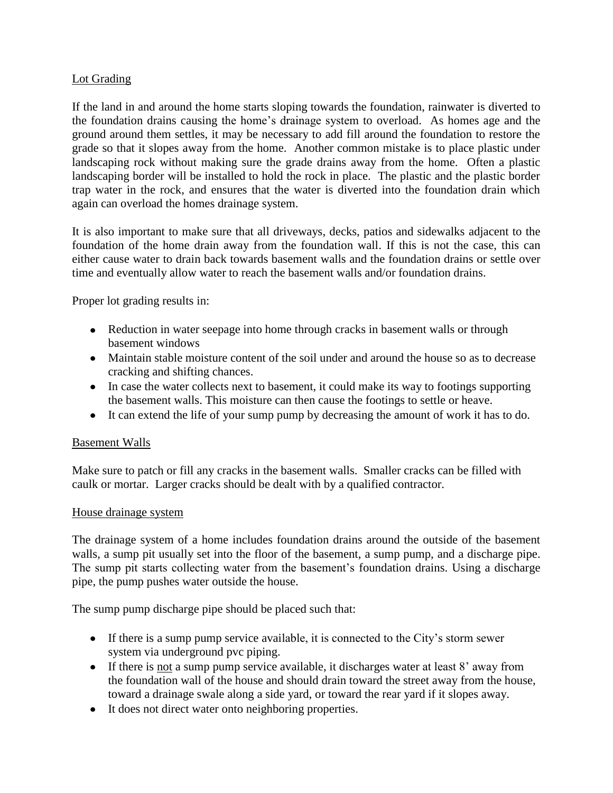## Lot Grading

If the land in and around the home starts sloping towards the foundation, rainwater is diverted to the foundation drains causing the home's drainage system to overload. As homes age and the ground around them settles, it may be necessary to add fill around the foundation to restore the grade so that it slopes away from the home. Another common mistake is to place plastic under landscaping rock without making sure the grade drains away from the home. Often a plastic landscaping border will be installed to hold the rock in place. The plastic and the plastic border trap water in the rock, and ensures that the water is diverted into the foundation drain which again can overload the homes drainage system.

It is also important to make sure that all driveways, decks, patios and sidewalks adjacent to the foundation of the home drain away from the foundation wall. If this is not the case, this can either cause water to drain back towards basement walls and the foundation drains or settle over time and eventually allow water to reach the basement walls and/or foundation drains.

Proper lot grading results in:

- Reduction in water seepage into home through cracks in basement walls or through basement windows
- Maintain stable moisture content of the soil under and around the house so as to decrease cracking and shifting chances.
- In case the water collects next to basement, it could make its way to footings supporting the basement walls. This moisture can then cause the footings to settle or heave.
- It can extend the life of your sump pump by decreasing the amount of work it has to do.

## Basement Walls

Make sure to patch or fill any cracks in the basement walls. Smaller cracks can be filled with caulk or mortar. Larger cracks should be dealt with by a qualified contractor.

## House drainage system

The drainage system of a home includes foundation drains around the outside of the basement walls, a sump pit usually set into the floor of the basement, a sump pump, and a discharge pipe. The sump pit starts collecting water from the basement's foundation drains. Using a discharge pipe, the pump pushes water outside the house.

The sump pump discharge pipe should be placed such that:

- If there is a sump pump service available, it is connected to the City's storm sewer system via underground pvc piping.
- If there is not a sump pump service available, it discharges water at least 8' away from the foundation wall of the house and should drain toward the street away from the house, toward a drainage swale along a side yard, or toward the rear yard if it slopes away.
- It does not direct water onto neighboring properties.